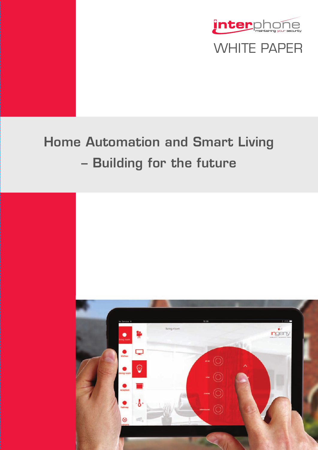



# **Home Automation and Smart Living – Building for the future**

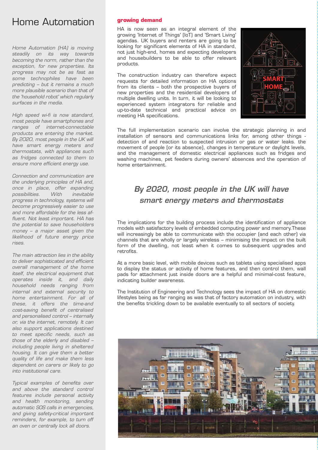# Home Automation

*Home Automation (HA) is moving steadily on its way towards becoming the norm, rather than the exception, for new properties. Its progress may not be as fast as some technophiles have been predicting – but it remains a much more plausible scenario than that of the 'household robot' which regularly surfaces in the media.*

*High speed wi-fi is now standard, most people have smartphones and ranges of internet-connectable products are entering the market. By 2020, most people in the UK will have smart energy meters and thermostats, with appliances such as fridges connected to them to ensure more efficient energy use.*

*Connection and communication are the underlying principles of HA and, once in place, offer expanding possibilities. With inevitable progress in technology, systems will become progressively easier to use and more affordable for the less affluent. Not least important. HA has the potential to save householders money – a major asset given the likelihood of future energy price rises.*

*The main attraction lies in the ability to deliver sophisticated and efficient overall management of the home itself, the electrical equipment that operates inside it, and daily household needs ranging from internal and external security to home entertainment. For all of these, it offers the time-and cost-saving benefit of centralised and personalised control – internally or, via the internet, remotely. It can also support applications destined to meet specific needs, such as those of the elderly and disabled – including people living in sheltered housing. It can give them a better quality of life and make them less dependent on carers or likely to go into institutional care.*

*Typical examples of benefits over and above the standard control features include personal activity and health monitoring, sending automatic SOS calls in emergencies, and giving safety-critical important reminders, for example, to turn off an oven or centrally lock all doors.*

### **growing demand**

HA is now seen as an integral element of the growing 'Internet of Things' (IoT) and 'Smart Living' agendas. UK buyers and renters are going to be looking for significant elements of HA in standard, not just high-end, homes and expecting developers and housebuilders to be able to offer relevant products.

The construction industry can therefore expect requests for detailed information on HA options from its clients – both the prospective buyers of new properties and the residential developers of multiple dwelling units. In turn, it will be looking to experienced system integrators for reliable and up-to-date technical and practical advice on meeting HA specifications.



The full implementation scenario can involve the strategic planning in and installation of sensors and communications links for, among other things detection of and reaction to suspected intrusion or gas or water leaks. the movement of people (or its absence), changes in temperature or daylight levels, and the management of domestic electrical appliances such as fridges and washing machines, pet feeders during owners' absences and the operation of home entertainment.

# *By 2020, most people in the UK will have smart energy meters and thermostats*

The implications for the building process include the identification of appliance models with satisfactory levels of embedded computing power and memory.These will increasingly be able to communicate with the occupier (and each other) via channels that are wholly or largely wireless – minimising the impact on the built form of the dwelling, not least when it comes to subsequent upgrades and retrofits.

At a more basic level, with mobile devices such as tablets using specialised apps to display the status or activity of home features, and then control them, wall pads for attachment just inside doors are a helpful and minimal-cost feature, indicating builder awareness.

The Institution of Engineering and Technology sees the impact of HA on domestic lifestyles being as far ranging as was that of factory automation on industry, with the benefits trickling down to be available eventually to all sectors of society.

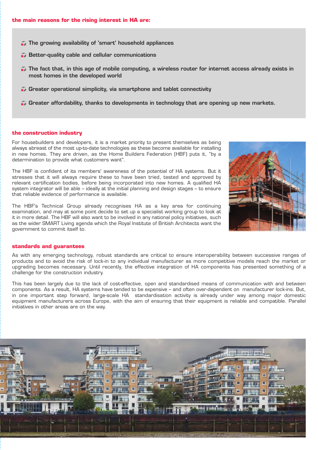- **The growing availability of 'smart' household appliances**
- **Better-quality cable and cellular communications**
- **The fact that, in this age of mobile computing, a wireless router for internet access already exists in most homes in the developed world**
- **Greater operational simplicity, via smartphone and tablet connectivity**
- **Greater affordability, thanks to developments in technology that are opening up new markets.**

### **the construction industry**

For housebuilders and developers, it is a market priority to present themselves as being always abreast of the most up-to-date technologies as these become available for installing in new homes. They are driven, as the Home Builders Federation (HBF) puts it, "by a determination to provide what customers want".

The HBF is confident of its members' awareness of the potential of HA systems. But it stresses that it will always require these to have been tried, tested and approved by relevant certification bodies, before being incorporated into new homes. A qualified HA system integrator will be able – ideally at the initial planning and design stages – to ensure that reliable evidence of performance is available.

The HBF's Technical Group already recognises HA as a key area for continuing examination, and may at some point decide to set up a specialist working group to look at it in more detail. The HBF will also want to be involved in any national policy initiatives, such as the wider SMART Living agenda which the Royal Institute of British Architects want the government to commit itself to.



#### **standards and guarantees**

As with any emerging technology, robust standards are critical to ensure interoperability between successive ranges of products and to avoid the risk of lock-in to any individual manufacturer as more competitive models reach the market or upgrading becomes necessary. Until recently, the effective integration of HA components has presented something of a challenge for the construction industry.

This has been largely due to the lack of cost-effective, open and standardised means of communication with and between components. As a result, HA systems have tended to be expensive – and often over-dependent on manufacturer lock-ins. But, in one important step forward, large-scale HA standardisation activity is already under way among major domestic equipment manufacturers across Europe, with the aim of ensuring that their equipment is reliable and compatible. Parallel initiatives in other areas are on the way.

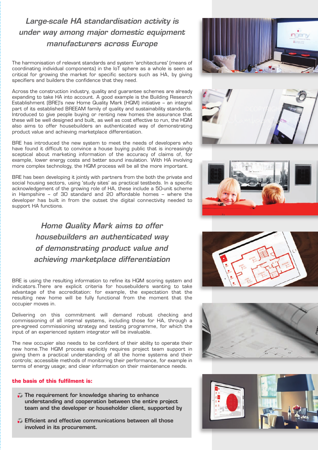# *Large-scale HA standardisation activity is under way among major domestic equipment manufacturers across Europe*

The harmonisation of relevant standards and system 'architectures' (means of coordinating individual components) in the IoT sphere as a whole is seen as critical for growing the market for specific sectors such as HA, by giving specifiers and builders the confidence that they need.

Across the construction industry, quality and guarantee schemes are already expanding to take HA into account. A good example is the Building Research Establishment (BRE)'s new Home Quality Mark (HQM) initiative – an integral part of its established BREEAM family of quality and sustainability standards. Introduced to give people buying or renting new homes the assurance that these will be well designed and built, as well as cost effective to run, the HQM also aims to offer housebuilders an authenticated way of demonstrating product value and achieving marketplace differentiation.

BRE has introduced the new system to meet the needs of developers who have found it difficult to convince a house buying public that is increasingly sceptical about marketing information of the accuracy of claims of, for example, lower energy costs and better sound insulation. With HA involving more complex technology, the HQM process will be all the more important.

BRE has been developing it jointly with partners from the both the private and social housing sectors, using 'study sites' as practical testbeds. In a specific acknowledgement of the growing role of HA, these include a 50-unit scheme in Hampshire – of 30 standard and 20 affordable homes – where the developer has built in from the outset the digital connectivity needed to support HA functions.

> *Home Quality Mark aims to offer housebuilders an authenticated way of demonstrating product value and achieving marketplace differentiation*

BRE is using the resulting information to refine its HQM scoring system and indicators.There are explicit criteria for housebuilders wanting to take advantage of the accreditation: for example, the expectation that the resulting new home will be fully functional from the moment that the occupier moves in.

Delivering on this commitment will demand robust checking and commissioning of all internal systems, including those for HA, through a pre-agreed commissioning strategy and testing programme, for which the input of an experienced system integrator will be invaluable.

The new occupier also needs to be confident of their ability to operate their new home.The HQM process explicitly requires project team support in giving them a practical understanding of all the home systems and their controls; accessible methods of monitoring their performance, for example in terms of energy usage; and clear information on their maintenance needs.

### **the basis of this fulfilment is:**

- **The requirement for knowledge sharing to enhance understanding and cooperation between the entire project team and the developer or householder client, supported by**
- **Efficient and effective communications between all those involved in its procurement.**







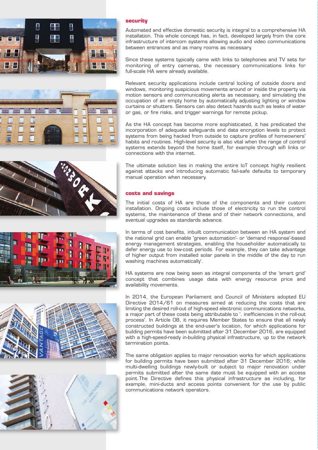





Automated and effective domestic security is integral to a comprehensive HA installation. This whole concept has, in fact, developed largely from the core infrastructure of intercom systems allowing audio and video communications between entrances and as many rooms as necessary.

Since these systems typically came with links to telephones and TV sets for monitoring of entry cameras, the necessary communications links for full-scale HA were already available.

Relevant security applications include central locking of outside doors and windows, monitoring suspicious movements around or inside the property via motion sensors and communicating alerts as necessary, and simulating the occupation of an empty home by automatically adjusting lighting or window curtains or shutters. Sensors can also detect hazards such as leaks of water or gas, or fire risks, and trigger warnings for remote pickup.

As the HA concept has become more sophisticated, it has predicated the incorporation of adequate safeguards and data encryption levels to protect systems from being hacked from outside to capture profiles of homeowners' habits and routines. High-level security is also vital when the range of control systems extends beyond the home itself, for example through wifi links or connections with the internet.

The ultimate solution lies in making the entire IoT concept highly resilient against attacks and introducing automatic fail-safe defaults to temporary manual operation when necessary.

## **costs and savings**

The initial costs of HA are those of the components and their custom installation. Ongoing costs include those of electricity to run the control systems, the maintenance of these and of their network connections, and eventual upgrades as standards advance.

In terms of cost benefits, inbuilt communication between an HA system and the national grid can enable 'green automation'- or 'demand response'-based energy management strategies, enabling the householder automatically to defer energy use to low-cost periods. For example, they can take advantage of higher output from installed solar panels in the middle of the day to run washing machines automatically'.

HA systems are now being seen as integral components of the 'smart grid' concept that combines usage data with energy resource price and availability movements.

In 2014, the European Parliament and Council of Ministers adopted EU Directive 2014/61 on measures aimed at reducing the costs that are limiting the desired roll-out of high-speed electronic communications networks, a major part of these costs being attributable to '. inefficiencies in the roll-out process'. In Article 08, it requires Member States to ensure that all newly constructed buildings at the end-user's location, for which applications for building permits have been submitted after 31 December 2016, are equipped with a high-speed-ready in-building physical infrastructure, up to the network termination points.

The same obligation applies to major renovation works for which applications for building permits have been submitted after 31 December 2016; while multi-dwelling buildings newly-built or subject to major renovation under permits submitted after the same date must be equipped with an access point.The Directive defines this physical infrastructure as including, for example, mini-ducts and access points convenient for the use by public communications network operators.